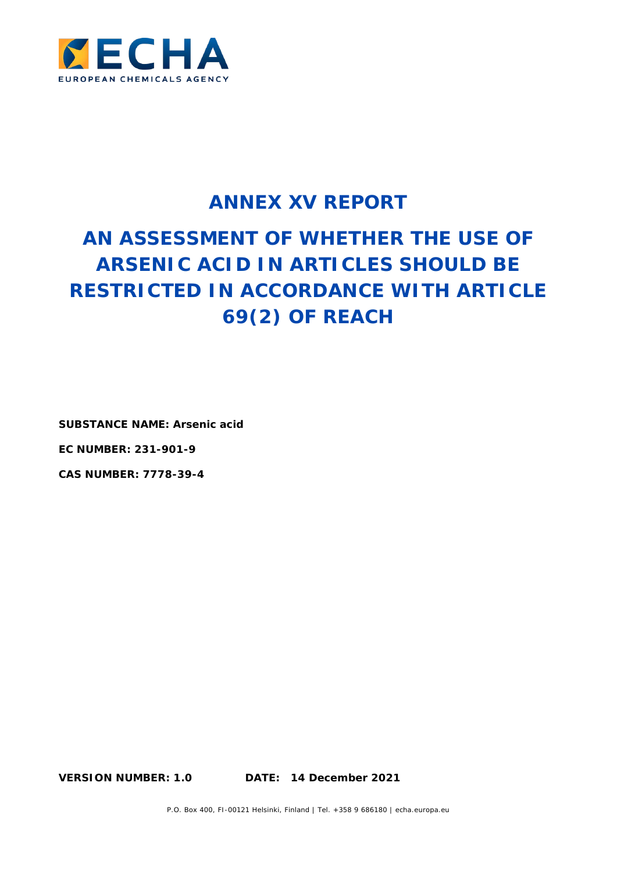

# **ANNEX XV REPORT**

# **AN ASSESSMENT OF WHETHER THE USE OF ARSENIC ACID IN ARTICLES SHOULD BE RESTRICTED IN ACCORDANCE WITH ARTICLE 69(2) OF REACH**

**SUBSTANCE NAME: Arsenic acid**

**EC NUMBER: 231-901-9**

**CAS NUMBER: 7778-39-4**

**VERSION NUMBER: 1.0 DATE: 14 December 2021**

P.O. Box 400, FI-00121 Helsinki, Finland | Tel. +358 9 686180 | echa.europa.eu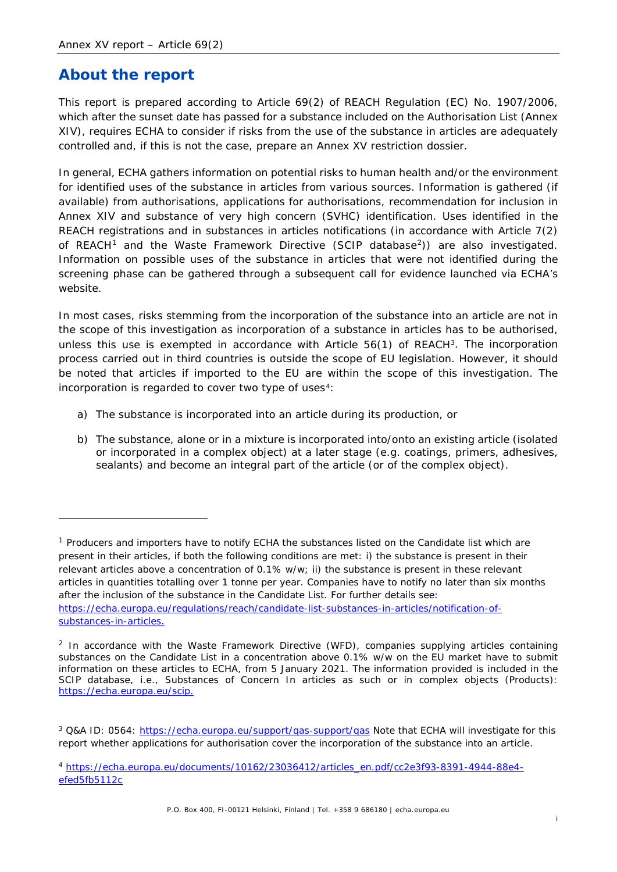### **About the report**

This report is prepared according to Article 69(2) of REACH Regulation (EC) No. 1907/2006, which after the sunset date has passed for a substance included on the Authorisation List (Annex XIV), requires ECHA to consider if risks from the use of the substance in articles are adequately controlled and, if this is not the case, prepare an Annex XV restriction dossier.

In general, ECHA gathers information on potential risks to human health and/or the environment for identified uses of the substance in articles from various sources. Information is gathered (if available) from authorisations, applications for authorisations, recommendation for inclusion in Annex XIV and substance of very high concern (SVHC) identification. Uses identified in the REACH registrations and in substances in articles notifications (in accordance with Article 7(2) of REACH<sup>[1](#page-1-0)</sup> and the Waste Framework Directive (SCIP database<sup>[2](#page-1-1)</sup>)) are also investigated. Information on possible uses of the substance in articles that were not identified during the screening phase can be gathered through a subsequent call for evidence launched via ECHA's website.

In most cases, risks stemming from the incorporation of the substance into an article are not in the scope of this investigation as incorporation of a substance in articles has to be authorised, unless this use is exempted in accordance with Article 56(1) of REACH<sup>[3](#page-1-2)</sup>. The incorporation process carried out in third countries is outside the scope of EU legislation. However, it should be noted that articles if imported to the EU are within the scope of this investigation. The incorporation is regarded to cover two type of uses<sup>4</sup>:

- a) The substance is incorporated into an article during its production, or
- b) The substance, alone or in a mixture is incorporated into/onto an existing article (isolated or incorporated in a complex object) at a later stage (e.g. coatings, primers, adhesives, sealants) and become an integral part of the article (or of the complex object).

<span id="page-1-0"></span><sup>&</sup>lt;sup>1</sup> Producers and importers have to notify ECHA the substances listed on the Candidate list which are present in their articles, if both the following conditions are met: i) the substance is present in their relevant articles above a concentration of 0.1% w/w; ii) the substance is present in these relevant articles in quantities totalling over 1 tonne per year. Companies have to notify no later than six months after the inclusion of the substance in the Candidate List. For further details see: [https://echa.europa.eu/regulations/reach/candidate-list-substances-in-articles/notification-of](https://echa.europa.eu/regulations/reach/candidate-list-substances-in-articles/notification-of-substances-in-articles)[substances-in-articles.](https://echa.europa.eu/regulations/reach/candidate-list-substances-in-articles/notification-of-substances-in-articles)

<span id="page-1-1"></span><sup>&</sup>lt;sup>2</sup> In accordance with the Waste Framework Directive (WFD), companies supplying articles containing substances on the Candidate List in a concentration above 0.1% w/w on the EU market have to submit information on these articles to ECHA, from 5 January 2021. The information provided is included in the SCIP database, i.e., Substances of Concern In articles as such or in complex objects (Products): [https://echa.europa.eu/scip.](https://echa.europa.eu/scip)

<span id="page-1-2"></span><sup>&</sup>lt;sup>3</sup> Q&A ID: 0564:<https://echa.europa.eu/support/qas-support/qas> Note that ECHA will investigate for this report whether applications for authorisation cover the incorporation of the substance into an article.

<span id="page-1-3"></span><sup>4</sup> [https://echa.europa.eu/documents/10162/23036412/articles\\_en.pdf/cc2e3f93-8391-4944-88e4](https://echa.europa.eu/documents/10162/23036412/articles_en.pdf/cc2e3f93-8391-4944-88e4-efed5fb5112c) [efed5fb5112c](https://echa.europa.eu/documents/10162/23036412/articles_en.pdf/cc2e3f93-8391-4944-88e4-efed5fb5112c)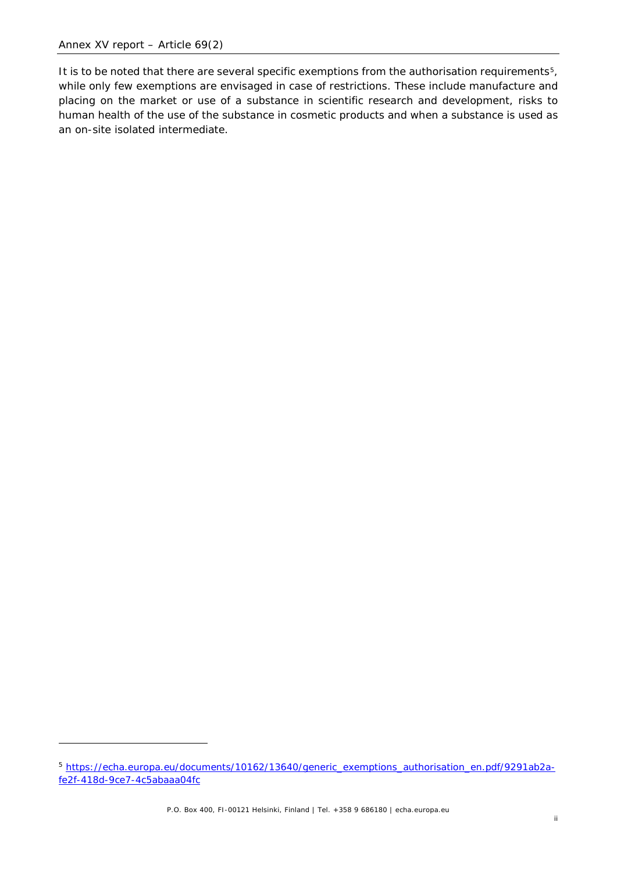It is to be noted that there are several specific exemptions from the authorisation requirements<sup>5</sup>, while only few exemptions are envisaged in case of restrictions. These include manufacture and placing on the market or use of a substance in scientific research and development, risks to human health of the use of the substance in cosmetic products and when a substance is used as an on-site isolated intermediate.

<span id="page-2-0"></span><sup>5</sup> [https://echa.europa.eu/documents/10162/13640/generic\\_exemptions\\_authorisation\\_en.pdf/9291ab2a](https://echa.europa.eu/documents/10162/13640/generic_exemptions_authorisation_en.pdf/9291ab2a-fe2f-418d-9ce7-4c5abaaa04fc)[fe2f-418d-9ce7-4c5abaaa04fc](https://echa.europa.eu/documents/10162/13640/generic_exemptions_authorisation_en.pdf/9291ab2a-fe2f-418d-9ce7-4c5abaaa04fc)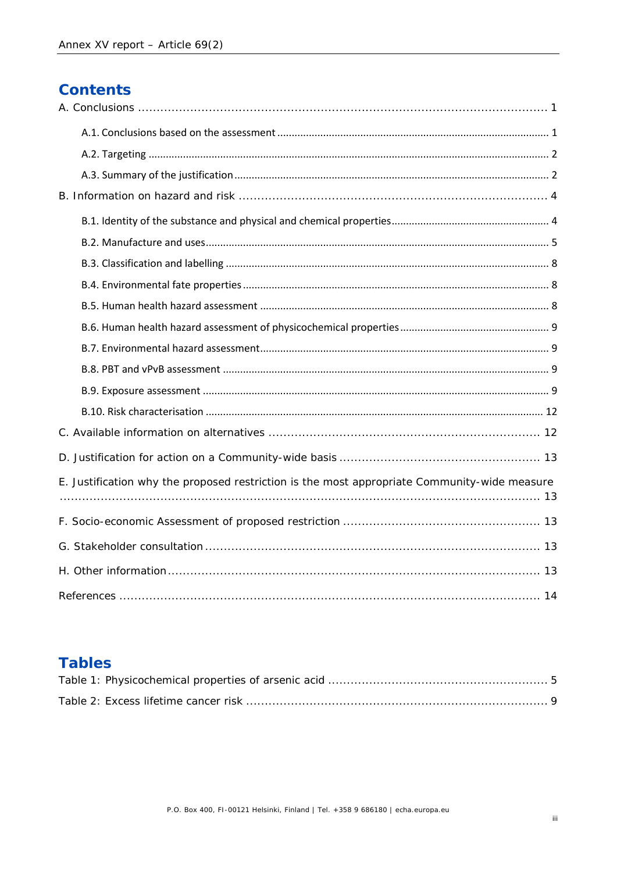## **Contents**

| E. Justification why the proposed restriction is the most appropriate Community-wide measure |
|----------------------------------------------------------------------------------------------|
|                                                                                              |
|                                                                                              |
|                                                                                              |
|                                                                                              |

### **Tables**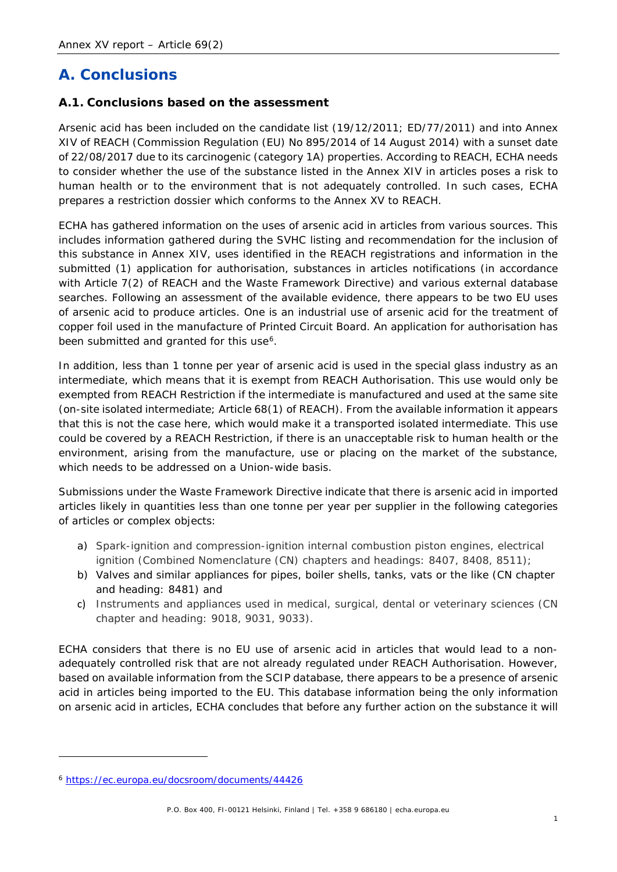### <span id="page-4-0"></span>**A. Conclusions**

#### <span id="page-4-1"></span>**A.1. Conclusions based on the assessment**

Arsenic acid has been included on the candidate list (19/12/2011; ED/77/2011) and into Annex XIV of REACH (Commission Regulation (EU) No 895/2014 of 14 August 2014) with a sunset date of 22/08/2017 due to its carcinogenic (category 1A) properties. According to REACH, ECHA needs to consider whether the use of the substance listed in the Annex XIV in articles poses a risk to human health or to the environment that is not adequately controlled. In such cases, ECHA prepares a restriction dossier which conforms to the Annex XV to REACH.

ECHA has gathered information on the uses of arsenic acid in articles from various sources. This includes information gathered during the SVHC listing and recommendation for the inclusion of this substance in Annex XIV, uses identified in the REACH registrations and information in the submitted (1) application for authorisation, substances in articles notifications (in accordance with Article 7(2) of REACH and the Waste Framework Directive) and various external database searches. Following an assessment of the available evidence, there appears to be two EU uses of arsenic acid to produce articles. One is an industrial use of arsenic acid for the treatment of copper foil used in the manufacture of Printed Circuit Board. An application for authorisation has been submitted and granted for this use<sup>[6](#page-4-2)</sup>.

In addition, less than 1 tonne per year of arsenic acid is used in the special glass industry as an intermediate, which means that it is exempt from REACH Authorisation. This use would only be exempted from REACH Restriction if the intermediate is manufactured and used at the same site (on-site isolated intermediate; Article 68(1) of REACH). From the available information it appears that this is not the case here, which would make it a transported isolated intermediate. This use could be covered by a REACH Restriction, if there is an unacceptable risk to human health or the environment, arising from the manufacture, use or placing on the market of the substance, which needs to be addressed on a Union-wide basis.

Submissions under the Waste Framework Directive indicate that there is arsenic acid in imported articles likely in quantities less than one tonne per year per supplier in the following categories of articles or complex objects:

- a) Spark-ignition and compression-ignition internal combustion piston engines, electrical ignition (Combined Nomenclature (CN) chapters and headings: 8407, 8408, 8511);
- b) Valves and similar appliances for pipes, boiler shells, tanks, vats or the like (CN chapter and heading: 8481) and
- c) Instruments and appliances used in medical, surgical, dental or veterinary sciences (CN chapter and heading: 9018, 9031, 9033).

ECHA considers that there is no EU use of arsenic acid in articles that would lead to a nonadequately controlled risk that are not already regulated under REACH Authorisation. However, based on available information from the SCIP database, there appears to be a presence of arsenic acid in articles being imported to the EU. This database information being the only information on arsenic acid in articles, ECHA concludes that before any further action on the substance it will

<span id="page-4-2"></span><sup>6</sup> <https://ec.europa.eu/docsroom/documents/44426>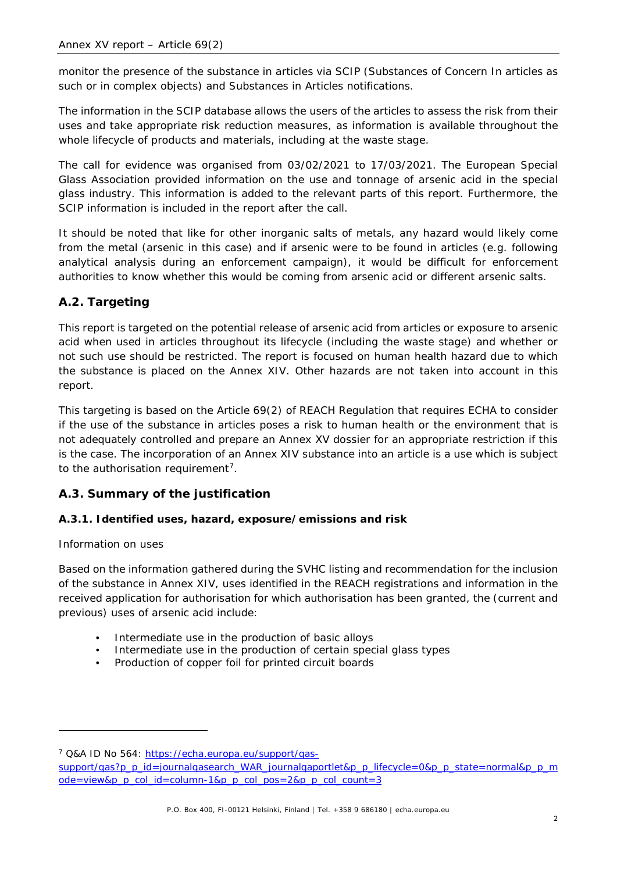monitor the presence of the substance in articles via SCIP (Substances of Concern In articles as such or in complex objects) and Substances in Articles notifications.

The information in the SCIP database allows the users of the articles to assess the risk from their uses and take appropriate risk reduction measures, as information is available throughout the whole lifecycle of products and materials, including at the waste stage.

The call for evidence was organised from 03/02/2021 to 17/03/2021. The European Special Glass Association provided information on the use and tonnage of arsenic acid in the special glass industry. This information is added to the relevant parts of this report. Furthermore, the SCIP information is included in the report after the call.

It should be noted that like for other inorganic salts of metals, any hazard would likely come from the metal (arsenic in this case) and if arsenic were to be found in articles (e.g. following analytical analysis during an enforcement campaign), it would be difficult for enforcement authorities to know whether this would be coming from arsenic acid or different arsenic salts.

#### <span id="page-5-0"></span>**A.2. Targeting**

This report is targeted on the potential release of arsenic acid from articles or exposure to arsenic acid when used in articles throughout its lifecycle (including the waste stage) and whether or not such use should be restricted. The report is focused on human health hazard due to which the substance is placed on the Annex XIV. Other hazards are not taken into account in this report.

This targeting is based on the Article 69(2) of REACH Regulation that requires ECHA to consider if the use of the substance in articles poses a risk to human health or the environment that is not adequately controlled and prepare an Annex XV dossier for an appropriate restriction if this is the case. The incorporation of an Annex XIV substance into an article is a use which is subject to the authorisation requirement<sup>7</sup>.

#### <span id="page-5-1"></span>**A.3. Summary of the justification**

#### **A.3.1. Identified uses, hazard, exposure/emissions and risk**

#### *Information on uses*

Based on the information gathered during the SVHC listing and recommendation for the inclusion of the substance in Annex XIV, uses identified in the REACH registrations and information in the received application for authorisation for which authorisation has been granted, the (current and previous) uses of arsenic acid include:

- Intermediate use in the production of basic alloys
- Intermediate use in the production of certain special glass types
- Production of copper foil for printed circuit boards

<span id="page-5-2"></span><sup>7</sup> Q&A ID No 564: [https://echa.europa.eu/support/qas-](https://echa.europa.eu/support/qas-support/qas?p_p_id=journalqasearch_WAR_journalqaportlet&p_p_lifecycle=0&p_p_state=normal&p_p_mode=view&p_p_col_id=column-1&p_p_col_pos=2&p_p_col_count=3)

[support/qas?p\\_p\\_id=journalqasearch\\_WAR\\_journalqaportlet&p\\_p\\_lifecycle=0&p\\_p\\_state=normal&p\\_p\\_m](https://echa.europa.eu/support/qas-support/qas?p_p_id=journalqasearch_WAR_journalqaportlet&p_p_lifecycle=0&p_p_state=normal&p_p_mode=view&p_p_col_id=column-1&p_p_col_pos=2&p_p_col_count=3) [ode=view&p\\_p\\_col\\_id=column-1&p\\_p\\_col\\_pos=2&p\\_p\\_col\\_count=3](https://echa.europa.eu/support/qas-support/qas?p_p_id=journalqasearch_WAR_journalqaportlet&p_p_lifecycle=0&p_p_state=normal&p_p_mode=view&p_p_col_id=column-1&p_p_col_pos=2&p_p_col_count=3)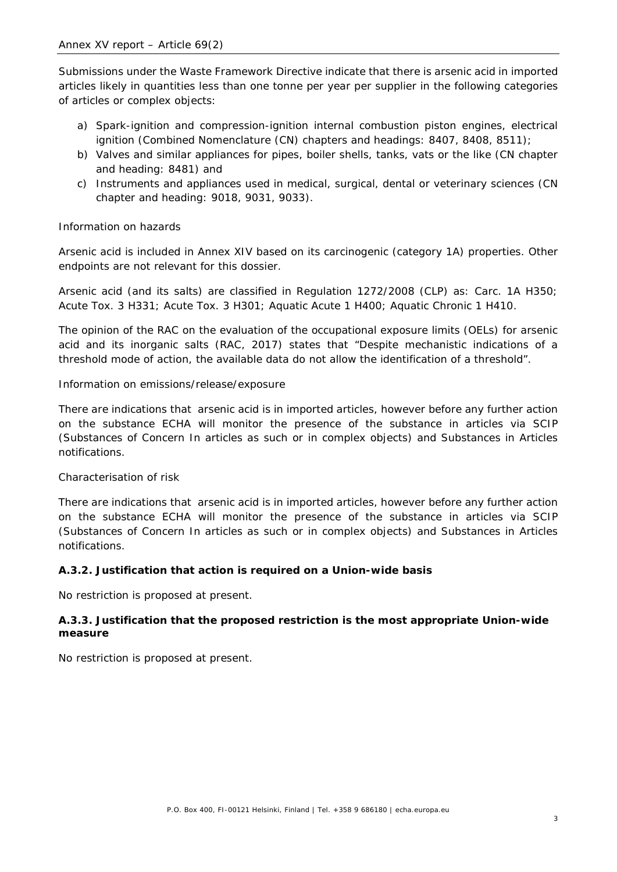Submissions under the Waste Framework Directive indicate that there is arsenic acid in imported articles likely in quantities less than one tonne per year per supplier in the following categories of articles or complex objects:

- a) Spark-ignition and compression-ignition internal combustion piston engines, electrical ignition (Combined Nomenclature (CN) chapters and headings: 8407, 8408, 8511);
- b) Valves and similar appliances for pipes, boiler shells, tanks, vats or the like (CN chapter and heading: 8481) and
- c) Instruments and appliances used in medical, surgical, dental or veterinary sciences (CN chapter and heading: 9018, 9031, 9033).

#### *Information on hazards*

Arsenic acid is included in Annex XIV based on its carcinogenic (category 1A) properties. Other endpoints are not relevant for this dossier.

Arsenic acid (and its salts) are classified in Regulation 1272/2008 (CLP) as: Carc. 1A H350; Acute Tox. 3 H331; Acute Tox. 3 H301; Aquatic Acute 1 H400; Aquatic Chronic 1 H410.

The opinion of the RAC on the evaluation of the occupational exposure limits (OELs) for arsenic acid and its inorganic salts (RAC, 2017) states that "Despite mechanistic indications of a threshold mode of action, the available data do not allow the identification of a threshold".

#### *Information on emissions/release/exposure*

There are indications that arsenic acid is in imported articles, however before any further action on the substance ECHA will monitor the presence of the substance in articles via SCIP (Substances of Concern In articles as such or in complex objects) and Substances in Articles notifications.

#### *Characterisation of risk*

There are indications that arsenic acid is in imported articles, however before any further action on the substance ECHA will monitor the presence of the substance in articles via SCIP (Substances of Concern In articles as such or in complex objects) and Substances in Articles notifications.

#### **A.3.2. Justification that action is required on a Union-wide basis**

No restriction is proposed at present.

#### **A.3.3. Justification that the proposed restriction is the most appropriate Union-wide measure**

No restriction is proposed at present.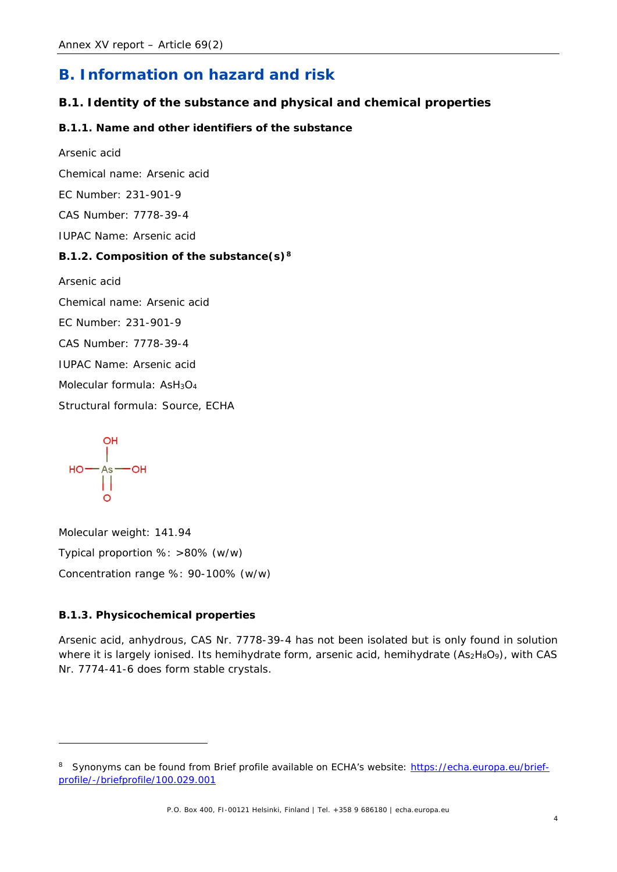### <span id="page-7-0"></span>**B. Information on hazard and risk**

#### <span id="page-7-1"></span>**B.1. Identity of the substance and physical and chemical properties**

#### **B.1.1. Name and other identifiers of the substance**

*Arsenic acid*

Chemical name: Arsenic acid

EC Number: 231-901-9

CAS Number: 7778-39-4

IUPAC Name: Arsenic acid

#### **B.1.2. Composition of the substance(s)[8](#page-7-2)**

*Arsenic acid*

Chemical name: Arsenic acid

EC Number: 231-901-9

CAS Number: 7778-39-4

IUPAC Name: Arsenic acid

Molecular formula: AsH<sub>3</sub>O<sub>4</sub>

Structural formula: Source, ECHA

 $\begin{array}{c}\n\text{or} \\
\begin{array}{c}\n\text{or} \\
\text{or} \\
\begin{array}{c}\n\text{or} \\
\text{or} \\
\text{or} \\
\text{or} \\
\text{or} \\
\text{or} \\
\end{array}\n\end{array}$ 

Molecular weight: 141.94 Typical proportion %: >80% (w/w) Concentration range %: 90-100% (w/w)

#### **B.1.3. Physicochemical properties**

Arsenic acid, anhydrous, CAS Nr. 7778-39-4 has not been isolated but is only found in solution where it is largely ionised. Its hemihydrate form, arsenic acid, hemihydrate (As2H8O9), with CAS Nr. 7774-41-6 does form stable crystals.

<span id="page-7-2"></span><sup>8</sup> Synonyms can be found from Brief profile available on ECHA's website: [https://echa.europa.eu/brief](https://echa.europa.eu/brief-profile/-/briefprofile/100.029.001)[profile/-/briefprofile/100.029.001](https://echa.europa.eu/brief-profile/-/briefprofile/100.029.001)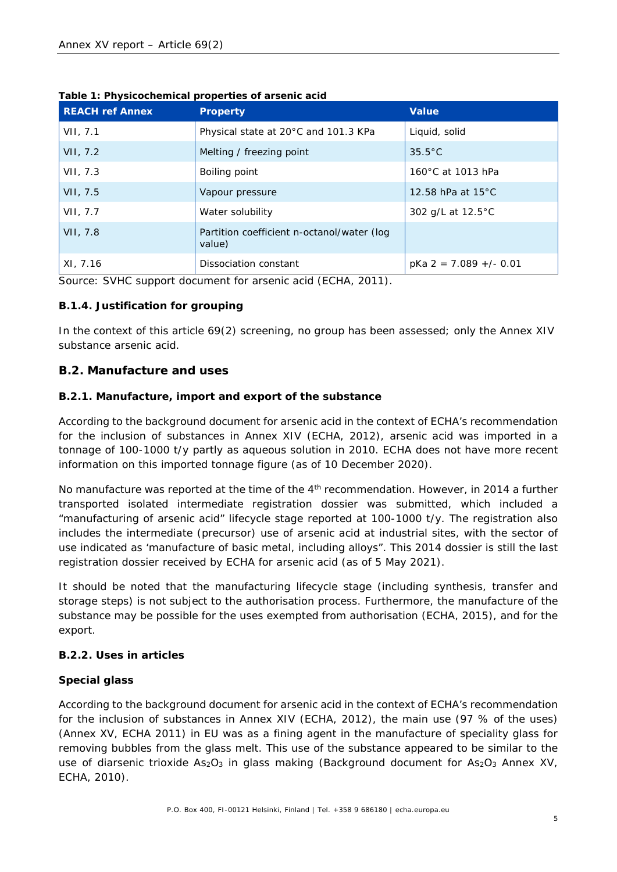| <b>REACH ref Annex</b> | <b>Property</b>                                      | <b>Value</b>                |
|------------------------|------------------------------------------------------|-----------------------------|
| VII, 7.1               | Physical state at 20°C and 101.3 KPa                 | Liquid, solid               |
| VII, 7.2               | Melting / freezing point                             | $35.5^{\circ}$ C            |
| VII, 7.3               | Boiling point                                        | 160°C at 1013 hPa           |
| VII, 7.5               | Vapour pressure                                      | 12.58 hPa at $15^{\circ}$ C |
| VII, 7.7               | Water solubility                                     | 302 g/L at 12.5°C           |
| VII, 7.8               | Partition coefficient n-octanol/water (log<br>value) |                             |
| XI, 7.16               | Dissociation constant                                | $pKa 2 = 7.089 +/- 0.01$    |

<span id="page-8-1"></span>

| Table 1: Physicochemical properties of arsenic acid |
|-----------------------------------------------------|
|-----------------------------------------------------|

Source: SVHC support document for arsenic acid (ECHA, 2011).

#### **B.1.4. Justification for grouping**

In the context of this article 69(2) screening, no group has been assessed; only the Annex XIV substance arsenic acid.

#### <span id="page-8-0"></span>**B.2. Manufacture and uses**

#### **B.2.1. Manufacture, import and export of the substance**

According to the background document for arsenic acid in the context of ECHA's recommendation for the inclusion of substances in Annex XIV (ECHA, 2012), arsenic acid was imported in a tonnage of 100-1000 t/y partly as aqueous solution in 2010. ECHA does not have more recent information on this imported tonnage figure (as of 10 December 2020).

No manufacture was reported at the time of the 4<sup>th</sup> recommendation. However, in 2014 a further transported isolated intermediate registration dossier was submitted, which included a "manufacturing of arsenic acid" lifecycle stage reported at 100-1000 t/y. The registration also includes the intermediate (precursor) use of arsenic acid at industrial sites, with the sector of use indicated as 'manufacture of basic metal, including alloys". This 2014 dossier is still the last registration dossier received by ECHA for arsenic acid (as of 5 May 2021).

It should be noted that the manufacturing lifecycle stage (including synthesis, transfer and storage steps) is not subject to the authorisation process. Furthermore, the manufacture of the substance may be possible for the uses exempted from authorisation (ECHA, 2015), and for the export.

#### **B.2.2. Uses in articles**

#### **Special glass**

According to the background document for arsenic acid in the context of ECHA's recommendation for the inclusion of substances in Annex XIV (ECHA, 2012), the main use (97 % of the uses) (Annex XV, ECHA 2011) in EU was as a fining agent in the manufacture of speciality glass for removing bubbles from the glass melt. This use of the substance appeared to be similar to the use of diarsenic trioxide  $As_2O_3$  in glass making (Background document for  $As_2O_3$  Annex XV, ECHA, 2010).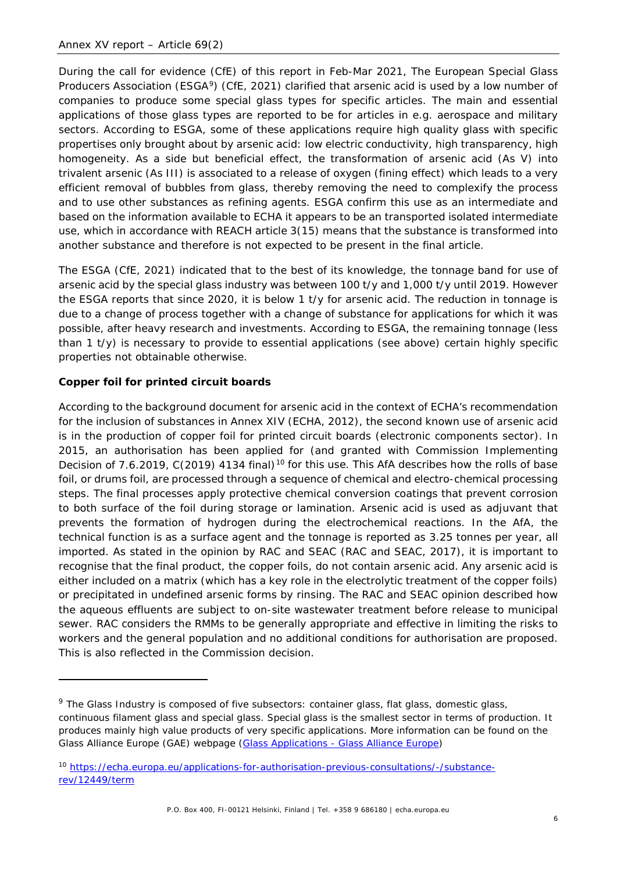During the call for evidence (CfE) of this report in Feb-Mar 2021, The European Special Glass Producers Association (ESGA<sup>[9](#page-9-0)</sup>) (CfE, 2021) clarified that arsenic acid is used by a low number of companies to produce some special glass types for specific articles. The main and essential applications of those glass types are reported to be for articles in e.g. aerospace and military sectors. According to ESGA, some of these applications require high quality glass with specific propertises only brought about by arsenic acid: low electric conductivity, high transparency, high homogeneity. As a side but beneficial effect, the transformation of arsenic acid (As V) into trivalent arsenic (As III) is associated to a release of oxygen (fining effect) which leads to a very efficient removal of bubbles from glass, thereby removing the need to complexify the process and to use other substances as refining agents. ESGA confirm this use as an intermediate and based on the information available to ECHA it appears to be an transported isolated intermediate use, which in accordance with REACH article 3(15) means that the substance is transformed into another substance and therefore is not expected to be present in the final article.

The ESGA (CfE, 2021) indicated that to the best of its knowledge, the tonnage band for use of arsenic acid by the special glass industry was between 100 t/y and 1,000 t/y until 2019. However the ESGA reports that since 2020, it is below 1 t/y for arsenic acid. The reduction in tonnage is due to a change of process together with a change of substance for applications for which it was possible, after heavy research and investments. According to ESGA, the remaining tonnage (less than 1 t/y) is necessary to provide to essential applications (see above) certain highly specific properties not obtainable otherwise.

#### **Copper foil for printed circuit boards**

According to the background document for arsenic acid in the context of ECHA's recommendation for the inclusion of substances in Annex XIV (ECHA, 2012), the second known use of arsenic acid is in the production of copper foil for printed circuit boards (electronic components sector). In 2015, an authorisation has been applied for (and granted with Commission Implementing Decision of 7.6.2019, C(2019) 4134 final)<sup>[10](#page-9-1)</sup> for this use. This AfA describes how the rolls of base foil, or drums foil, are processed through a sequence of chemical and electro-chemical processing steps. The final processes apply protective chemical conversion coatings that prevent corrosion to both surface of the foil during storage or lamination. Arsenic acid is used as adjuvant that prevents the formation of hydrogen during the electrochemical reactions. In the AfA, the technical function is as a surface agent and the tonnage is reported as 3.25 tonnes per year, all imported. As stated in the opinion by RAC and SEAC (RAC and SEAC, 2017), it is important to recognise that the final product, the copper foils, do not contain arsenic acid. Any arsenic acid is either included on a matrix (which has a key role in the electrolytic treatment of the copper foils) or precipitated in undefined arsenic forms by rinsing. The RAC and SEAC opinion described how the aqueous effluents are subject to on-site wastewater treatment before release to municipal sewer. RAC considers the RMMs to be generally appropriate and effective in limiting the risks to workers and the general population and no additional conditions for authorisation are proposed. This is also reflected in the Commission decision.

<span id="page-9-0"></span><sup>&</sup>lt;sup>9</sup> The Glass Industry is composed of five subsectors: container glass, flat glass, domestic glass, continuous filament glass and special glass. Special glass is the smallest sector in terms of production. It produces mainly high value products of very specific applications. More information can be found on the Glass Alliance Europe (GAE) webpage (Glass Applications - [Glass Alliance Europe\)](https://www.glassallianceeurope.eu/en/applications)

<span id="page-9-1"></span><sup>10</sup> [https://echa.europa.eu/applications-for-authorisation-previous-consultations/-/substance](https://echa.europa.eu/applications-for-authorisation-previous-consultations/-/substance-rev/12449/term)[rev/12449/term](https://echa.europa.eu/applications-for-authorisation-previous-consultations/-/substance-rev/12449/term)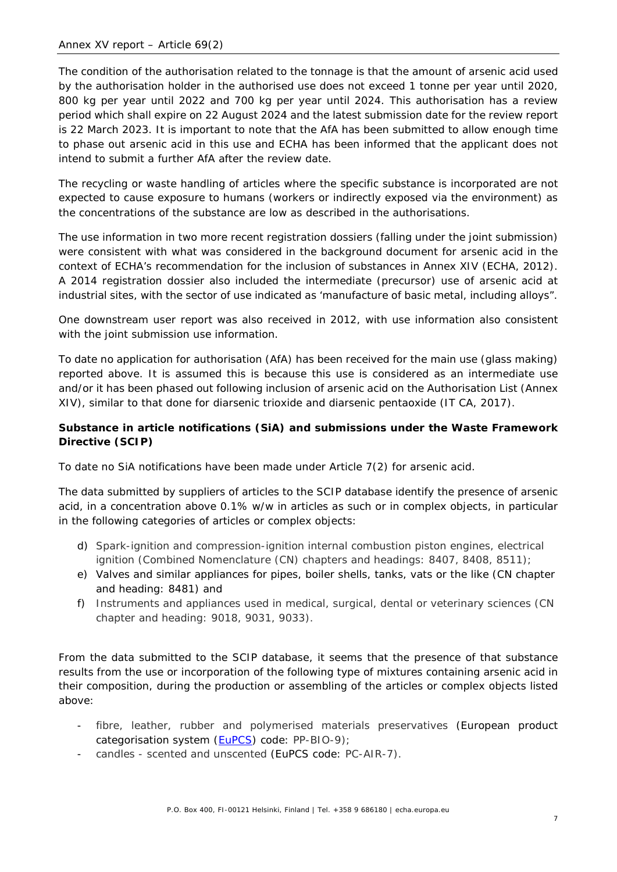The condition of the authorisation related to the tonnage is that the amount of arsenic acid used by the authorisation holder in the authorised use does not exceed 1 tonne per year until 2020, 800 kg per year until 2022 and 700 kg per year until 2024. This authorisation has a review period which shall expire on 22 August 2024 and the latest submission date for the review report is 22 March 2023. It is important to note that the AfA has been submitted to allow enough time to phase out arsenic acid in this use and ECHA has been informed that the applicant does not intend to submit a further AfA after the review date.

The recycling or waste handling of articles where the specific substance is incorporated are not expected to cause exposure to humans (workers or indirectly exposed via the environment) as the concentrations of the substance are low as described in the authorisations.

The use information in two more recent registration dossiers (falling under the joint submission) were consistent with what was considered in the background document for arsenic acid in the context of ECHA's recommendation for the inclusion of substances in Annex XIV (ECHA, 2012). A 2014 registration dossier also included the intermediate (precursor) use of arsenic acid at industrial sites, with the sector of use indicated as 'manufacture of basic metal, including alloys".

One downstream user report was also received in 2012, with use information also consistent with the joint submission use information.

To date no application for authorisation (AfA) has been received for the main use (glass making) reported above. It is assumed this is because this use is considered as an intermediate use and/or it has been phased out following inclusion of arsenic acid on the Authorisation List (Annex XIV), similar to that done for diarsenic trioxide and diarsenic pentaoxide (IT CA, 2017).

#### **Substance in article notifications (SiA) and submissions under the Waste Framework Directive (SCIP)**

To date no SiA notifications have been made under Article 7(2) for arsenic acid.

The data submitted by suppliers of articles to the SCIP database identify the presence of arsenic acid, in a concentration above 0.1% w/w in articles as such or in complex objects, in particular in the following categories of articles or complex objects:

- d) Spark-ignition and compression-ignition internal combustion piston engines, electrical ignition (Combined Nomenclature (CN) chapters and headings: 8407, 8408, 8511);
- e) Valves and similar appliances for pipes, boiler shells, tanks, vats or the like (CN chapter and heading: 8481) and
- f) Instruments and appliances used in medical, surgical, dental or veterinary sciences (CN chapter and heading: 9018, 9031, 9033).

From the data submitted to the SCIP database, it seems that the presence of that substance results from the use or incorporation of the following type of mixtures containing arsenic acid in their composition, during the production or assembling of the articles or complex objects listed above:

- fibre, leather, rubber and polymerised materials preservatives (European product categorisation system [\(EuPCS\)](https://poisoncentres.echa.europa.eu/eu-product-categorisation-system) code: PP-BIO-9);
- candles scented and unscented (EuPCS code: PC-AIR-7).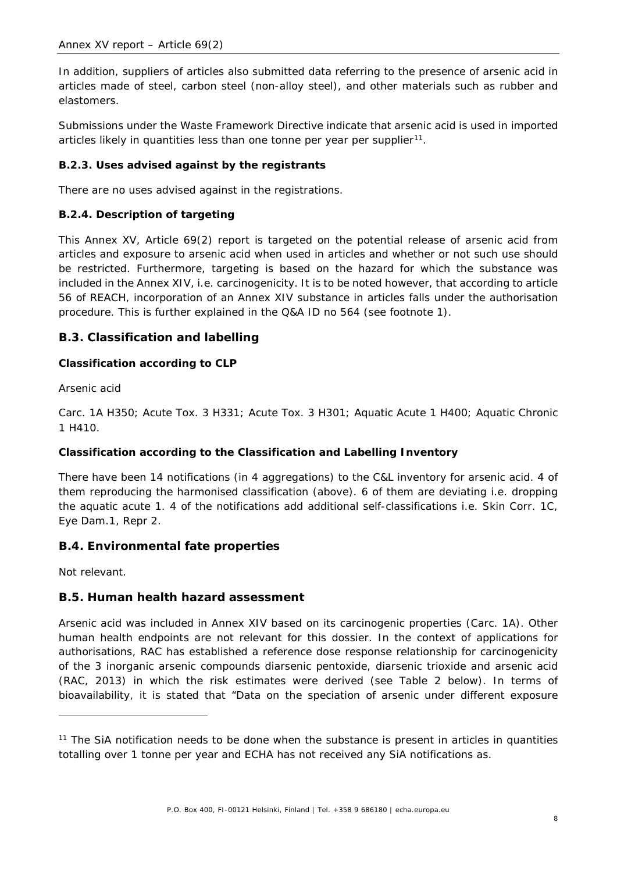In addition, suppliers of articles also submitted data referring to the presence of arsenic acid in articles made of steel, carbon steel (non-alloy steel), and other materials such as rubber and elastomers.

Submissions under the Waste Framework Directive indicate that arsenic acid is used in imported articles likely in quantities less than one tonne per year per supplier<sup>[11](#page-11-3)</sup>.

#### **B.2.3. Uses advised against by the registrants**

There are no uses advised against in the registrations.

#### **B.2.4. Description of targeting**

This Annex XV, Article 69(2) report is targeted on the potential release of arsenic acid from articles and exposure to arsenic acid when used in articles and whether or not such use should be restricted. Furthermore, targeting is based on the hazard for which the substance was included in the Annex XIV, i.e. carcinogenicity. It is to be noted however, that according to article 56 of REACH, incorporation of an Annex XIV substance in articles falls under the authorisation procedure. This is further explained in the Q&A ID no 564 (see footnote 1).

#### <span id="page-11-0"></span>**B.3. Classification and labelling**

#### **Classification according to CLP**

#### *Arsenic acid*

Carc. 1A H350; Acute Tox. 3 H331; Acute Tox. 3 H301; Aquatic Acute 1 H400; Aquatic Chronic 1 H410.

#### **Classification according to the Classification and Labelling Inventory**

There have been 14 notifications (in 4 aggregations) to the C&L inventory for arsenic acid. 4 of them reproducing the harmonised classification (above). 6 of them are deviating i.e. dropping the aquatic acute 1. 4 of the notifications add additional self-classifications i.e. Skin Corr. 1C, Eye Dam.1, Repr 2.

#### <span id="page-11-1"></span>**B.4. Environmental fate properties**

Not relevant.

#### <span id="page-11-2"></span>**B.5. Human health hazard assessment**

Arsenic acid was included in Annex XIV based on its carcinogenic properties (Carc. 1A). Other human health endpoints are not relevant for this dossier. In the context of applications for authorisations, RAC has established a reference dose response relationship for carcinogenicity of the 3 inorganic arsenic compounds diarsenic pentoxide, diarsenic trioxide and arsenic acid (RAC, 2013) in which the risk estimates were derived (see Table 2 below). In terms of bioavailability, it is stated that "Data on the speciation of arsenic under different exposure

<span id="page-11-3"></span><sup>&</sup>lt;sup>11</sup> The SiA notification needs to be done when the substance is present in articles in quantities totalling over 1 tonne per year and ECHA has not received any SiA notifications as.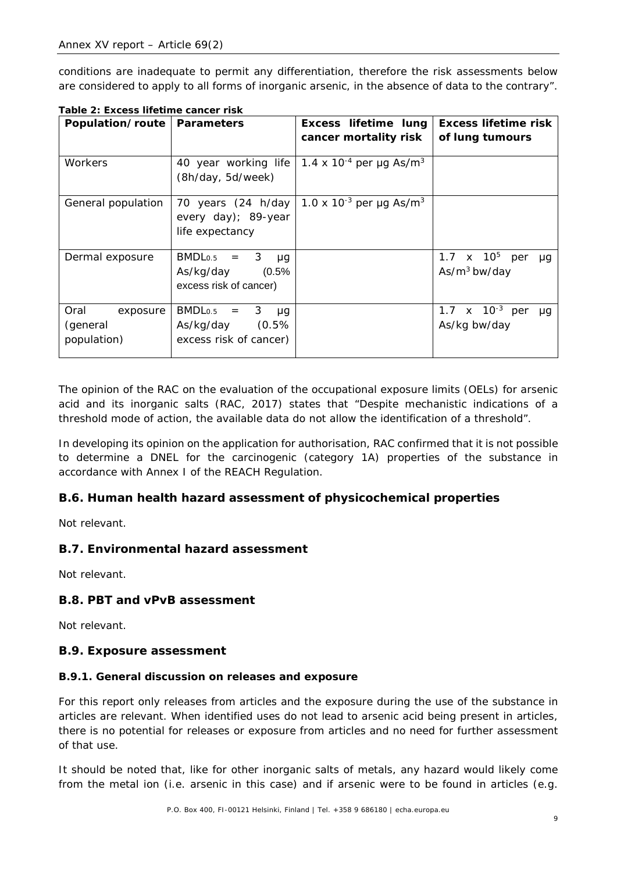conditions are inadequate to permit any differentiation, therefore the risk assessments below are considered to apply to all forms of inorganic arsenic, in the absence of data to the contrary".

| Population/route   | <b>Parameters</b>                  | Excess lifetime lung                            | <b>Excess lifetime risk</b>               |
|--------------------|------------------------------------|-------------------------------------------------|-------------------------------------------|
|                    |                                    |                                                 |                                           |
|                    |                                    | cancer mortality risk                           | of lung tumours                           |
|                    |                                    |                                                 |                                           |
| Workers            | 40 year working life               | 1.4 x 10 <sup>-4</sup> per µg As/m <sup>3</sup> |                                           |
|                    | (8h/day, 5d/week)                  |                                                 |                                           |
|                    |                                    |                                                 |                                           |
| General population | 70 years $(24 h/day)$              | 1.0 x 10 <sup>-3</sup> per µg As/m <sup>3</sup> |                                           |
|                    | every day); 89-year                |                                                 |                                           |
|                    | life expectancy                    |                                                 |                                           |
|                    |                                    |                                                 |                                           |
| Dermal exposure    | BMDL <sub>0.5</sub><br>$= 3$<br>μq |                                                 | 1.7 $\times$ 10 <sup>5</sup><br>per<br>μq |
|                    | (0.5%<br>As/kg/day                 |                                                 | $As/m3$ bw/day                            |
|                    | excess risk of cancer)             |                                                 |                                           |
|                    |                                    |                                                 |                                           |
| Oral<br>exposure   | $BMDLo.5 =$<br>$3 \mu g$           |                                                 | 1.7 $\times$ 10 <sup>-3</sup> per<br>uq   |
| (general           | As/kg/day (0.5%                    |                                                 | As/kg bw/day                              |
| population)        | excess risk of cancer)             |                                                 |                                           |
|                    |                                    |                                                 |                                           |

<span id="page-12-4"></span>**Table 2: Excess lifetime cancer risk**

The opinion of the RAC on the evaluation of the occupational exposure limits (OELs) for arsenic acid and its inorganic salts (RAC, 2017) states that "Despite mechanistic indications of a threshold mode of action, the available data do not allow the identification of a threshold".

In developing its opinion on the application for authorisation, RAC confirmed that it is not possible to determine a DNEL for the carcinogenic (category 1A) properties of the substance in accordance with Annex I of the REACH Regulation.

#### <span id="page-12-0"></span>**B.6. Human health hazard assessment of physicochemical properties**

Not relevant.

#### <span id="page-12-1"></span>**B.7. Environmental hazard assessment**

Not relevant.

#### <span id="page-12-2"></span>**B.8. PBT and vPvB assessment**

Not relevant.

#### <span id="page-12-3"></span>**B.9. Exposure assessment**

#### **B.9.1. General discussion on releases and exposure**

For this report only releases from articles and the exposure during the use of the substance in articles are relevant. When identified uses do not lead to arsenic acid being present in articles, there is no potential for releases or exposure from articles and no need for further assessment of that use.

It should be noted that, like for other inorganic salts of metals, any hazard would likely come from the metal ion (i.e. arsenic in this case) and if arsenic were to be found in articles (e.g.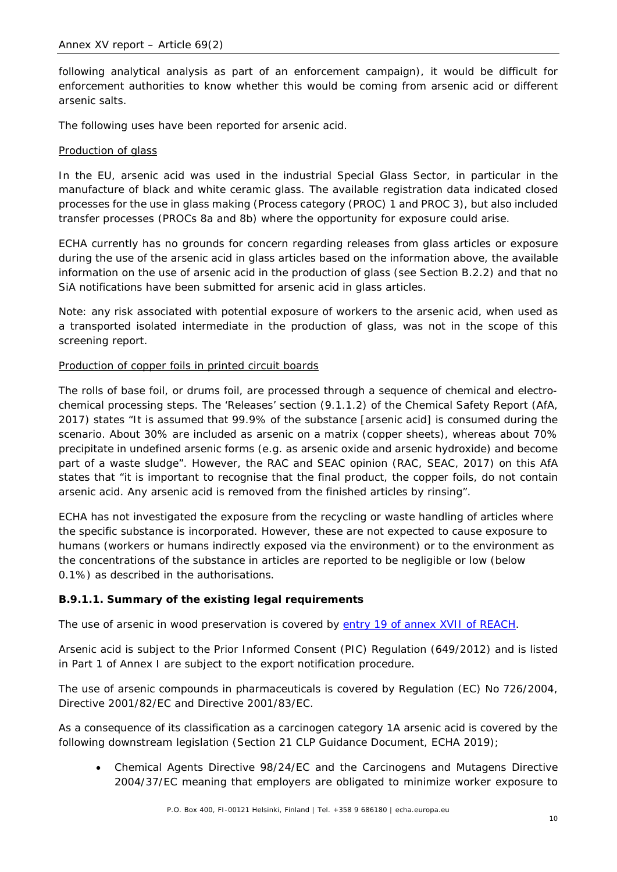following analytical analysis as part of an enforcement campaign), it would be difficult for enforcement authorities to know whether this would be coming from arsenic acid or different arsenic salts.

The following uses have been reported for arsenic acid.

#### Production of glass

In the EU, arsenic acid was used in the industrial Special Glass Sector, in particular in the manufacture of black and white ceramic glass. The available registration data indicated closed processes for the use in glass making (Process category (PROC) 1 and PROC 3), but also included transfer processes (PROCs 8a and 8b) where the opportunity for exposure could arise.

ECHA currently has no grounds for concern regarding releases from glass articles or exposure during the use of the arsenic acid in glass articles based on the information above, the available information on the use of arsenic acid in the production of glass (see Section B.2.2) and that no SiA notifications have been submitted for arsenic acid in glass articles.

Note: any risk associated with potential exposure of workers to the arsenic acid, when used as a transported isolated intermediate in the production of glass, was not in the scope of this screening report.

#### Production of copper foils in printed circuit boards

The rolls of base foil, or drums foil, are processed through a sequence of chemical and electrochemical processing steps. The 'Releases' section (9.1.1.2) of the Chemical Safety Report (AfA, 2017) states "It is assumed that 99.9% of the substance [arsenic acid] is consumed during the scenario. About 30% are included as arsenic on a matrix (copper sheets), whereas about 70% precipitate in undefined arsenic forms (e.g. as arsenic oxide and arsenic hydroxide) and become part of a waste sludge". However, the RAC and SEAC opinion (RAC, SEAC, 2017) on this AfA states that "it is important to recognise that the final product, the copper foils, do not contain arsenic acid. Any arsenic acid is removed from the finished articles by rinsing".

ECHA has not investigated the exposure from the recycling or waste handling of articles where the specific substance is incorporated. However, these are not expected to cause exposure to humans (workers or humans indirectly exposed via the environment) or to the environment as the concentrations of the substance in articles are reported to be negligible or low (below 0.1%) as described in the authorisations.

#### **B.9.1.1. Summary of the existing legal requirements**

The use of arsenic in wood preservation is covered by [entry 19 of annex XVII of REACH.](https://echa.europa.eu/documents/10162/a798c758-371f-41e5-a38d-5f8dc9ba739d)

Arsenic acid is subject to the Prior Informed Consent (PIC) Regulation (649/2012) and is listed in Part 1 of Annex I are subject to the export notification procedure.

The use of arsenic compounds in pharmaceuticals is covered by Regulation (EC) No 726/2004, Directive 2001/82/EC and Directive 2001/83/EC.

As a consequence of its classification as a carcinogen category 1A arsenic acid is covered by the following downstream legislation (Section 21 CLP Guidance Document, ECHA 2019);

• Chemical Agents Directive 98/24/EC and the Carcinogens and Mutagens Directive 2004/37/EC meaning that employers are obligated to minimize worker exposure to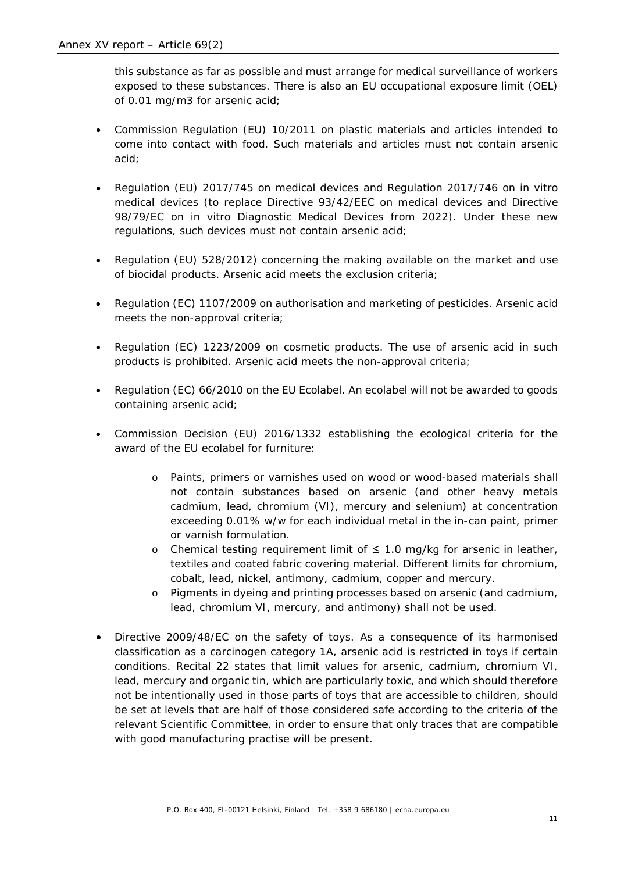this substance as far as possible and must arrange for medical surveillance of workers exposed to these substances. There is also an EU occupational exposure limit (OEL) of 0.01 mg/m3 for arsenic acid;

- Commission Regulation (EU) 10/2011 on plastic materials and articles intended to come into contact with food. Such materials and articles must not contain arsenic acid;
- Regulation (EU) 2017/745 on medical devices and Regulation 2017/746 on in vitro medical devices (to replace Directive 93/42/EEC on medical devices and Directive 98/79/EC on in vitro Diagnostic Medical Devices from 2022). Under these new regulations, such devices must not contain arsenic acid;
- Regulation (EU) 528/2012) concerning the making available on the market and use of biocidal products. Arsenic acid meets the exclusion criteria;
- Regulation (EC) 1107/2009 on authorisation and marketing of pesticides. Arsenic acid meets the non-approval criteria;
- Regulation (EC) 1223/2009 on cosmetic products. The use of arsenic acid in such products is prohibited. Arsenic acid meets the non-approval criteria;
- Regulation (EC) 66/2010 on the EU Ecolabel. An ecolabel will not be awarded to goods containing arsenic acid;
- Commission Decision (EU) 2016/1332 establishing the ecological criteria for the award of the EU ecolabel for furniture:
	- o Paints, primers or varnishes used on wood or wood-based materials shall not contain substances based on arsenic (and other heavy metals cadmium, lead, chromium (VI), mercury and selenium) at concentration exceeding 0.01% w/w for each individual metal in the in-can paint, primer or varnish formulation.
	- o Chemical testing requirement limit of ≤ 1.0 mg/kg for arsenic in leather, textiles and coated fabric covering material. Different limits for chromium, cobalt, lead, nickel, antimony, cadmium, copper and mercury.
	- o Pigments in dyeing and printing processes based on arsenic (and cadmium, lead, chromium VI, mercury, and antimony) shall not be used.
- Directive 2009/48/EC on the safety of toys. As a consequence of its harmonised classification as a carcinogen category 1A, arsenic acid is restricted in toys if certain conditions. Recital 22 states that limit values for arsenic, cadmium, chromium VI, lead, mercury and organic tin, which are particularly toxic, and which should therefore not be intentionally used in those parts of toys that are accessible to children, should be set at levels that are half of those considered safe according to the criteria of the relevant Scientific Committee, in order to ensure that only traces that are compatible with good manufacturing practise will be present.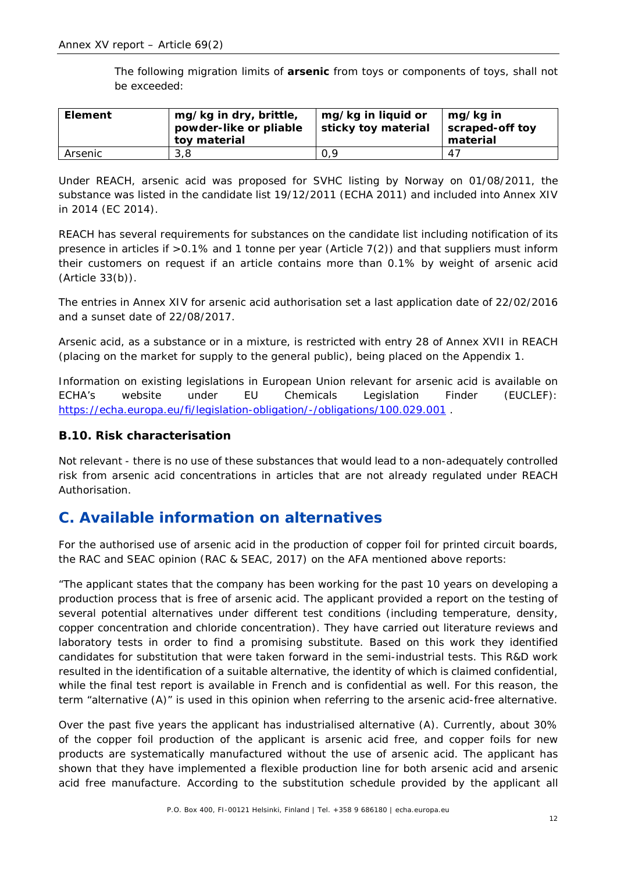The following migration limits of **arsenic** from toys or components of toys, shall not be exceeded:

| <b>Element</b> | mg/kg in dry, brittle,<br>powder-like or pliable<br>toy material | mg/kg in liquid or<br>sticky toy material | mg/kg in<br>scraped-off toy<br>material |
|----------------|------------------------------------------------------------------|-------------------------------------------|-----------------------------------------|
| Arsenic        | 3.8                                                              | 0.9                                       | 47                                      |

Under REACH, arsenic acid was proposed for SVHC listing by Norway on 01/08/2011, the substance was listed in the candidate list 19/12/2011 (ECHA 2011) and included into Annex XIV in 2014 (EC 2014).

REACH has several requirements for substances on the candidate list including notification of its presence in articles if >0.1% and 1 tonne per year (Article 7(2)) and that suppliers must inform their customers on request if an article contains more than 0.1% by weight of arsenic acid (Article 33(b)).

The entries in Annex XIV for arsenic acid authorisation set a last application date of 22/02/2016 and a sunset date of 22/08/2017.

Arsenic acid, as a substance or in a mixture, is restricted with entry 28 of Annex XVII in REACH (placing on the market for supply to the general public), being placed on the Appendix 1.

Information on existing legislations in European Union relevant for arsenic acid is available on ECHA's website under EU Chemicals Legislation Finder (EUCLEF): <https://echa.europa.eu/fi/legislation-obligation/-/obligations/100.029.001> .

#### <span id="page-15-0"></span>**B.10. Risk characterisation**

Not relevant - there is no use of these substances that would lead to a non-adequately controlled risk from arsenic acid concentrations in articles that are not already regulated under REACH Authorisation.

### <span id="page-15-1"></span>**C. Available information on alternatives**

For the authorised use of arsenic acid in the production of copper foil for printed circuit boards, the RAC and SEAC opinion (RAC & SEAC, 2017) on the AFA mentioned above reports:

"The applicant states that the company has been working for the past 10 years on developing a production process that is free of arsenic acid. The applicant provided a report on the testing of several potential alternatives under different test conditions (including temperature, density, copper concentration and chloride concentration). They have carried out literature reviews and laboratory tests in order to find a promising substitute. Based on this work they identified candidates for substitution that were taken forward in the semi-industrial tests. This R&D work resulted in the identification of a suitable alternative, the identity of which is claimed confidential, while the final test report is available in French and is confidential as well. For this reason, the term "alternative (A)" is used in this opinion when referring to the arsenic acid-free alternative.

Over the past five years the applicant has industrialised alternative (A). Currently, about 30% of the copper foil production of the applicant is arsenic acid free, and copper foils for new products are systematically manufactured without the use of arsenic acid. The applicant has shown that they have implemented a flexible production line for both arsenic acid and arsenic acid free manufacture. According to the substitution schedule provided by the applicant all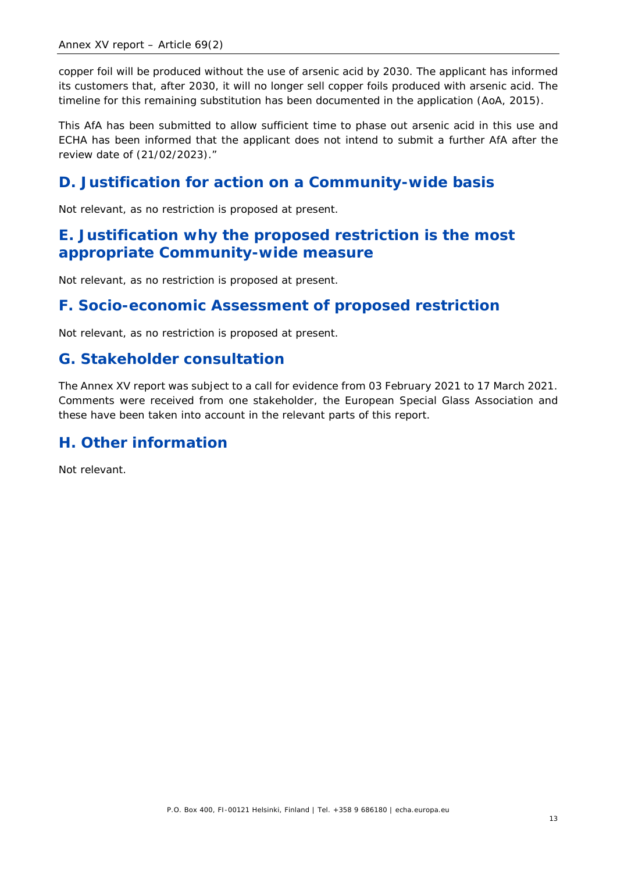copper foil will be produced without the use of arsenic acid by 2030. The applicant has informed its customers that, after 2030, it will no longer sell copper foils produced with arsenic acid. The timeline for this remaining substitution has been documented in the application (AoA, 2015).

This AfA has been submitted to allow sufficient time to phase out arsenic acid in this use and ECHA has been informed that the applicant does not intend to submit a further AfA after the review date of (21/02/2023)."

### <span id="page-16-0"></span>**D. Justification for action on a Community-wide basis**

Not relevant, as no restriction is proposed at present.

### <span id="page-16-1"></span>**E. Justification why the proposed restriction is the most appropriate Community-wide measure**

Not relevant, as no restriction is proposed at present.

### <span id="page-16-2"></span>**F. Socio-economic Assessment of proposed restriction**

Not relevant, as no restriction is proposed at present.

### <span id="page-16-3"></span>**G. Stakeholder consultation**

The Annex XV report was subject to a call for evidence from 03 February 2021 to 17 March 2021. Comments were received from one stakeholder, the European Special Glass Association and these have been taken into account in the relevant parts of this report.

### <span id="page-16-4"></span>**H. Other information**

Not relevant.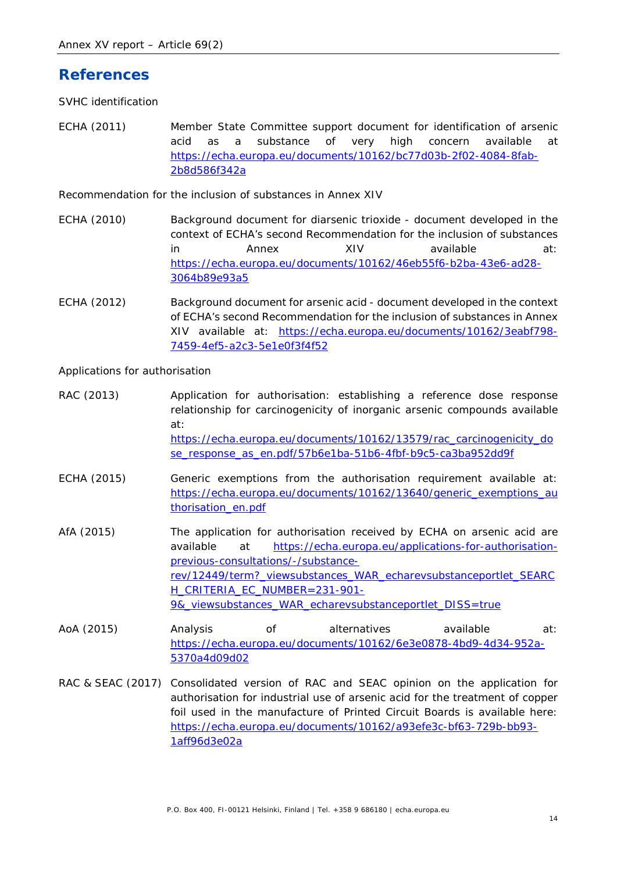### <span id="page-17-0"></span>**References**

*SVHC identification*

ECHA (2011) Member State Committee support document for identification of arsenic acid as a substance of very high concern available at [https://echa.europa.eu/documents/10162/bc77d03b-2f02-4084-8fab-](https://echa.europa.eu/documents/10162/bc77d03b-2f02-4084-8fab-2b8d586f342a)[2b8d586f342a](https://echa.europa.eu/documents/10162/bc77d03b-2f02-4084-8fab-2b8d586f342a)

*Recommendation for the inclusion of substances in Annex XIV*

- ECHA (2010) Background document for diarsenic trioxide document developed in the context of ECHA's second Recommendation for the inclusion of substances in Annex XIV available at: [https://echa.europa.eu/documents/10162/46eb55f6-b2ba-43e6-ad28-](https://echa.europa.eu/documents/10162/46eb55f6-b2ba-43e6-ad28-3064b89e93a5) [3064b89e93a5](https://echa.europa.eu/documents/10162/46eb55f6-b2ba-43e6-ad28-3064b89e93a5)
- ECHA (2012) Background document for arsenic acid document developed in the context of ECHA's second Recommendation for the inclusion of substances in Annex XIV available at: [https://echa.europa.eu/documents/10162/3eabf798-](https://echa.europa.eu/documents/10162/3eabf798-7459-4ef5-a2c3-5e1e0f3f4f52) [7459-4ef5-a2c3-5e1e0f3f4f52](https://echa.europa.eu/documents/10162/3eabf798-7459-4ef5-a2c3-5e1e0f3f4f52)

*Applications for authorisation*

- RAC (2013) Application for authorisation: establishing a reference dose response relationship for carcinogenicity of inorganic arsenic compounds available at: [https://echa.europa.eu/documents/10162/13579/rac\\_carcinogenicity\\_do](https://echa.europa.eu/documents/10162/13579/rac_carcinogenicity_dose_response_as_en.pdf/57b6e1ba-51b6-4fbf-b9c5-ca3ba952dd9f) [se\\_response\\_as\\_en.pdf/57b6e1ba-51b6-4fbf-b9c5-ca3ba952dd9f](https://echa.europa.eu/documents/10162/13579/rac_carcinogenicity_dose_response_as_en.pdf/57b6e1ba-51b6-4fbf-b9c5-ca3ba952dd9f)
- ECHA (2015) Generic exemptions from the authorisation requirement available at: [https://echa.europa.eu/documents/10162/13640/generic\\_exemptions\\_au](https://echa.europa.eu/documents/10162/13640/generic_exemptions_authorisation_en.pdf) [thorisation\\_en.pdf](https://echa.europa.eu/documents/10162/13640/generic_exemptions_authorisation_en.pdf)
- AfA (2015) The application for authorisation received by ECHA on arsenic acid are available at [https://echa.europa.eu/applications-for-authorisation](https://echa.europa.eu/applications-for-authorisation-previous-consultations/-/substance-rev/12449/term?_viewsubstances_WAR_echarevsubstanceportlet_SEARCH_CRITERIA_EC_NUMBER=231-901-9&_viewsubstances_WAR_echarevsubstanceportlet_DISS=true)[previous-consultations/-/substance](https://echa.europa.eu/applications-for-authorisation-previous-consultations/-/substance-rev/12449/term?_viewsubstances_WAR_echarevsubstanceportlet_SEARCH_CRITERIA_EC_NUMBER=231-901-9&_viewsubstances_WAR_echarevsubstanceportlet_DISS=true)[rev/12449/term?\\_viewsubstances\\_WAR\\_echarevsubstanceportlet\\_SEARC](https://echa.europa.eu/applications-for-authorisation-previous-consultations/-/substance-rev/12449/term?_viewsubstances_WAR_echarevsubstanceportlet_SEARCH_CRITERIA_EC_NUMBER=231-901-9&_viewsubstances_WAR_echarevsubstanceportlet_DISS=true) [H\\_CRITERIA\\_EC\\_NUMBER=231-901-](https://echa.europa.eu/applications-for-authorisation-previous-consultations/-/substance-rev/12449/term?_viewsubstances_WAR_echarevsubstanceportlet_SEARCH_CRITERIA_EC_NUMBER=231-901-9&_viewsubstances_WAR_echarevsubstanceportlet_DISS=true) [9&\\_viewsubstances\\_WAR\\_echarevsubstanceportlet\\_DISS=true](https://echa.europa.eu/applications-for-authorisation-previous-consultations/-/substance-rev/12449/term?_viewsubstances_WAR_echarevsubstanceportlet_SEARCH_CRITERIA_EC_NUMBER=231-901-9&_viewsubstances_WAR_echarevsubstanceportlet_DISS=true)
- AoA (2015) Analysis of alternatives available at: [https://echa.europa.eu/documents/10162/6e3e0878-4bd9-4d34-952a-](https://echa.europa.eu/documents/10162/6e3e0878-4bd9-4d34-952a-5370a4d09d02)[5370a4d09d02](https://echa.europa.eu/documents/10162/6e3e0878-4bd9-4d34-952a-5370a4d09d02)
- RAC & SEAC (2017) Consolidated version of RAC and SEAC opinion on the application for authorisation for industrial use of arsenic acid for the treatment of copper foil used in the manufacture of Printed Circuit Boards is available here: [https://echa.europa.eu/documents/10162/a93efe3c-bf63-729b-bb93-](https://echa.europa.eu/documents/10162/a93efe3c-bf63-729b-bb93-1aff96d3e02a) [1aff96d3e02a](https://echa.europa.eu/documents/10162/a93efe3c-bf63-729b-bb93-1aff96d3e02a)